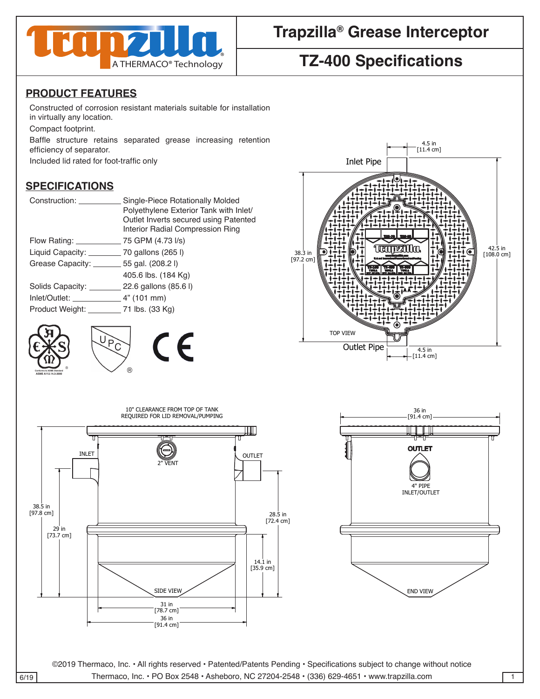

# **Trapzilla® Grease Interceptor**

## **TZ-400 Specifications**

#### **PRODUCT FEATURES**

Constructed of corrosion resistant materials suitable for installation in virtually any location.

Compact footprint.

Baffle structure retains separated grease increasing retention efficiency of separator.

Included lid rated for foot-traffic only

### **SPECIFICATIONS** 4 4

| Construction: Construction                  | Single-Piece Rotationally Molded<br>Polyethylene Exterior Tank with Inlet/<br>Outlet Inverts secured using Patented<br>Interior Radial Compression Ring |
|---------------------------------------------|---------------------------------------------------------------------------------------------------------------------------------------------------------|
|                                             |                                                                                                                                                         |
| Liquid Capacity: 70 gallons (265 l)         |                                                                                                                                                         |
| Grease Capacity: ________ 55 gal. (208.2 l) |                                                                                                                                                         |
|                                             | 405.6 lbs. (184 Kg)                                                                                                                                     |
| Solids Capacity: 22.6 gallons (85.6 l)      |                                                                                                                                                         |
| $lnlet/Outlet:$ $4" (101 mm)$               |                                                                                                                                                         |
| Product Weight: 71 lbs. (33 Kg)             |                                                                                                                                                         |
|                                             |                                                                                                                                                         |







contracts and contracts are contracted and contracts are contracted and contracts are contracted and contracts

contracts and contracts are contracted and contracts are contracted and contracts are contracted and contracts





CHECKED SIZE REV. NO. DWG NO.

PART NO. 2

DRAWN DATE COMPANY OF THE COMPANY OF THE COMPANY

Unless otherwise specified

Unless otherwise specified

©2019 Thermaco, Inc. • All rights reserved • Patented/Patents Pending • Specifications subject to change without notice 6/19 Thermaco, Inc. • PO Box 2548 • Asheboro, NC 27204-2548 • (336) 629-4651 • www.trapzilla.com